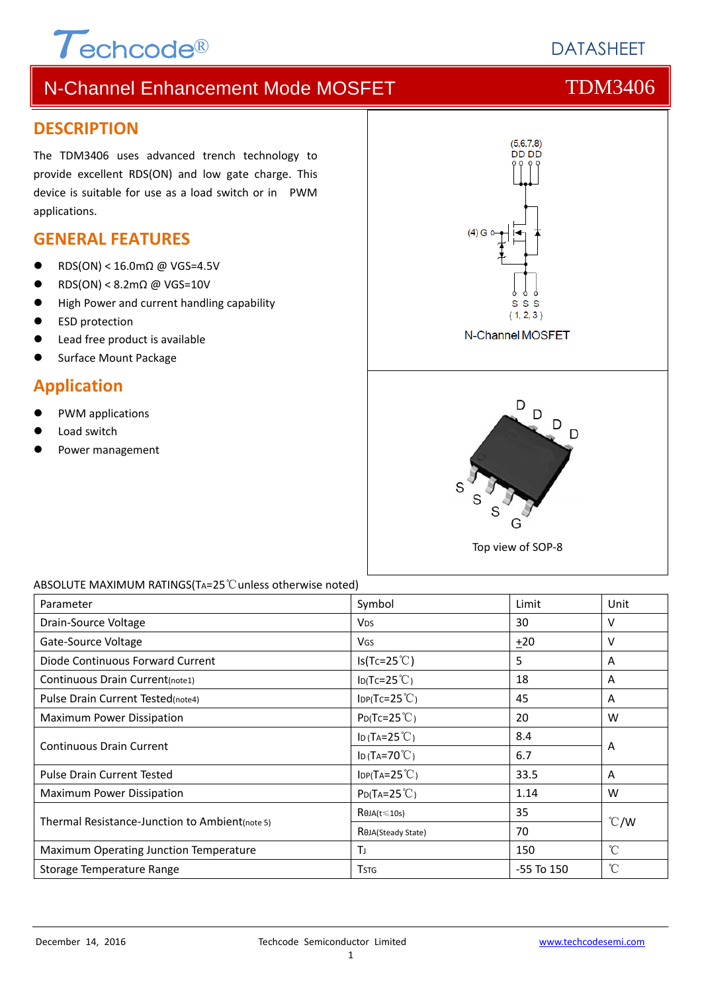# $\tau$ <sub>echcode®</sub>

# **DATASHEFT**

# N-Channel Enhancement Mode MOSFET THE TDM3406

## **DESCRIPTION**

The TDM3406 uses advanced trench technology to provide excellent RDS(ON) and low gate charge. This device is suitable for use as a load switch or in PWM applications.

## **GENERAL FEATURES**

- $\bullet$  RDS(ON) < 16.0mΩ @ VGS=4.5V
- $\bullet$  RDS(ON) < 8.2m $\Omega$  @ VGS=10V
- **High Power and current handling capability**
- ESD protection
- Lead free product is available
- Surface Mount Package

## **Application**

- PWM applications
- Load switch
- Power management



### ABSOLUTE MAXIMUM RATINGS(TA=25℃unless otherwise noted)

| Parameter                                      | Symbol                              | Limit          | Unit          |  |
|------------------------------------------------|-------------------------------------|----------------|---------------|--|
| Drain-Source Voltage                           | <b>V<sub>DS</sub></b>               | 30             | V             |  |
| Gate-Source Voltage                            | <b>V<sub>GS</sub></b>               | $+20$          | v             |  |
| Diode Continuous Forward Current               | $Is(Tc=25^{\circ}C)$                | 5              | A             |  |
| Continuous Drain Current(note1)                | $I_D(Tc=25^{\circ}C)$               | 18             | A             |  |
| Pulse Drain Current Tested(note4)              | $\text{IDP(Tc=25}^{\circ}\text{C})$ | 45             | A             |  |
| Maximum Power Dissipation                      | $P_{D}(Tc=25^{\circ}C)$             | 20             | W             |  |
| <b>Continuous Drain Current</b>                | ID (TA= $25^{\circ}$ C)             | 8.4            | A             |  |
|                                                | ID (TA=70 $°C$ )                    | 6.7            |               |  |
| <b>Pulse Drain Current Tested</b>              | $IDP(TA=25^{\circ}C)$               | 33.5           | A             |  |
| Maximum Power Dissipation                      | $P_{D}(Ta=25^{\circ}C)$             | 1.14           | W             |  |
| Thermal Resistance-Junction to Ambient(note 5) | $R\theta$ JA(t $\leq$ 10s)          | 35             | $\degree$ C/W |  |
|                                                | ROJA(Steady State)                  | 70             |               |  |
| Maximum Operating Junction Temperature         | TJ                                  | 150            | $^{\circ}C$   |  |
| Storage Temperature Range                      | <b>T</b> stg                        | $-55$ To $150$ | °C            |  |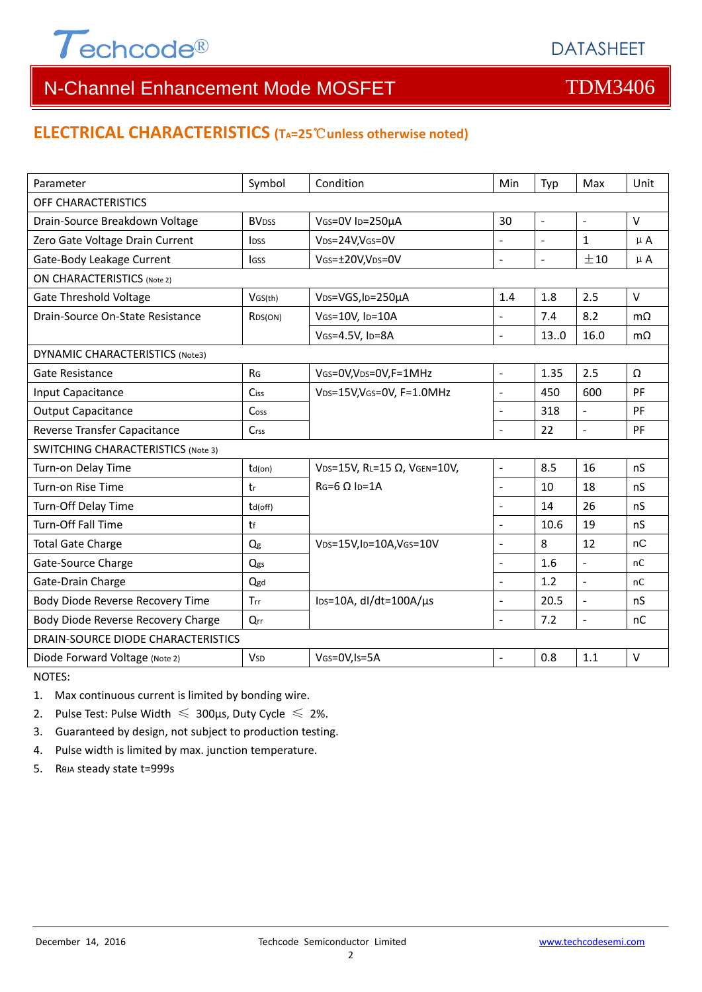

## **ELECTRICAL CHARACTERISTICS (TA=25**℃**unless otherwise noted)**

| Parameter                                 | Symbol                   | Condition                                     | Min            | Typ                      | Max            | Unit      |  |  |
|-------------------------------------------|--------------------------|-----------------------------------------------|----------------|--------------------------|----------------|-----------|--|--|
| OFF CHARACTERISTICS                       |                          |                                               |                |                          |                |           |  |  |
| Drain-Source Breakdown Voltage            | <b>BV</b> <sub>DSS</sub> | VGS=0V ID=250µA                               | 30             | $\blacksquare$           | $\blacksquare$ | $\vee$    |  |  |
| Zero Gate Voltage Drain Current           | <b>l</b> <sub>pss</sub>  | V <sub>DS</sub> =24V,V <sub>GS</sub> =0V      | $\overline{a}$ | $\overline{\phantom{a}}$ | $\mathbf{1}$   | $\mu$ A   |  |  |
| Gate-Body Leakage Current                 | lgss                     | VGS=±20V,VDS=0V                               | $\overline{a}$ | $\mathbb{L}$             | ±10            | $\mu$ A   |  |  |
| <b>ON CHARACTERISTICS (Note 2)</b>        |                          |                                               |                |                          |                |           |  |  |
| <b>Gate Threshold Voltage</b>             | VGS(th)                  | V <sub>DS</sub> =VGS, I <sub>D</sub> =250µA   | 1.4            | 1.8                      | 2.5            | $\vee$    |  |  |
| Drain-Source On-State Resistance          | R <sub>DS</sub> (ON)     | VGS=10V, ID=10A                               | $\overline{a}$ | 7.4                      | 8.2            | $m\Omega$ |  |  |
|                                           |                          | VGS=4.5V, ID=8A                               | $\overline{a}$ | 13.0                     | 16.0           | $m\Omega$ |  |  |
| <b>DYNAMIC CHARACTERISTICS (Note3)</b>    |                          |                                               |                |                          |                |           |  |  |
| Gate Resistance                           | R <sub>G</sub>           | VGS=0V, VDS=0V, F=1MHz                        | $\frac{1}{2}$  | 1.35                     | 2.5            | Ω         |  |  |
| Input Capacitance                         | Ciss                     | VDS=15V, VGS=0V, F=1.0MHz                     | ÷,             | 450                      | 600            | PF        |  |  |
| <b>Output Capacitance</b>                 | Coss                     |                                               | L.             | 318                      | $\overline{a}$ | PF        |  |  |
| Reverse Transfer Capacitance              | Crss                     |                                               | $\overline{a}$ | 22                       | $\overline{a}$ | PF        |  |  |
| <b>SWITCHING CHARACTERISTICS (Note 3)</b> |                          |                                               |                |                          |                |           |  |  |
| Turn-on Delay Time                        | $td($ on $)$             | VDS=15V, RL=15 Ω, VGEN=10V,                   | $\overline{a}$ | 8.5                      | 16             | nS        |  |  |
| Turn-on Rise Time                         | tr                       | $RG=6 \Omega$ Ip=1A                           | $\overline{a}$ | 10                       | 18             | nS        |  |  |
| Turn-Off Delay Time                       | td(off)                  |                                               | $\overline{a}$ | 14                       | 26             | nS        |  |  |
| Turn-Off Fall Time                        | tf                       |                                               | $\overline{a}$ | 10.6                     | 19             | nS        |  |  |
| <b>Total Gate Charge</b>                  | Q <sub>g</sub>           | $V_{DS}=15V$ , ID=10A, VGS=10V                |                | 8                        | 12             | nC        |  |  |
| Gate-Source Charge                        | Qgs                      |                                               | $\overline{a}$ | 1.6                      | $\overline{a}$ | nC        |  |  |
| Gate-Drain Charge                         | Qgd                      |                                               | $\overline{a}$ | 1.2                      | $\overline{a}$ | nC        |  |  |
| Body Diode Reverse Recovery Time          | Trr                      | $\text{los}=10\text{A}$ , dl/dt=100A/ $\mu$ s | ÷,             | 20.5                     | $\overline{a}$ | nS        |  |  |
| Body Diode Reverse Recovery Charge        | $Q_{rr}$                 |                                               | $\overline{a}$ | 7.2                      | $\blacksquare$ | nC        |  |  |
| DRAIN-SOURCE DIODE CHARACTERISTICS        |                          |                                               |                |                          |                |           |  |  |
| Diode Forward Voltage (Note 2)            | <b>V<sub>SD</sub></b>    | VGS=0V, Is=5A                                 |                | 0.8                      | 1.1            | $\vee$    |  |  |

NOTES:

1. Max continuous current is limited by bonding wire.

2. Pulse Test: Pulse Width  $\leq 300$ μs, Duty Cycle  $\leq 2\%$ .

3. Guaranteed by design, not subject to production testing.

4. Pulse width is limited by max. junction temperature.

5. RθJA steady state t=999s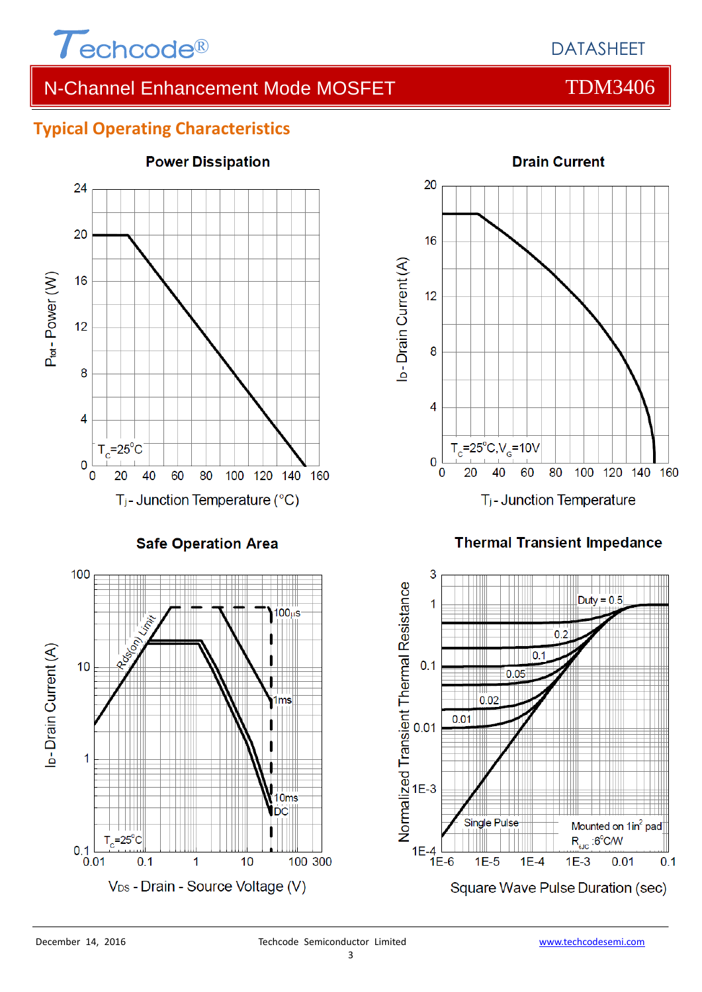

## **Typical Operating Characteristics**



**Safe Operation Area** 



# **Power Dissipation**



## **Thermal Transient Impedance**

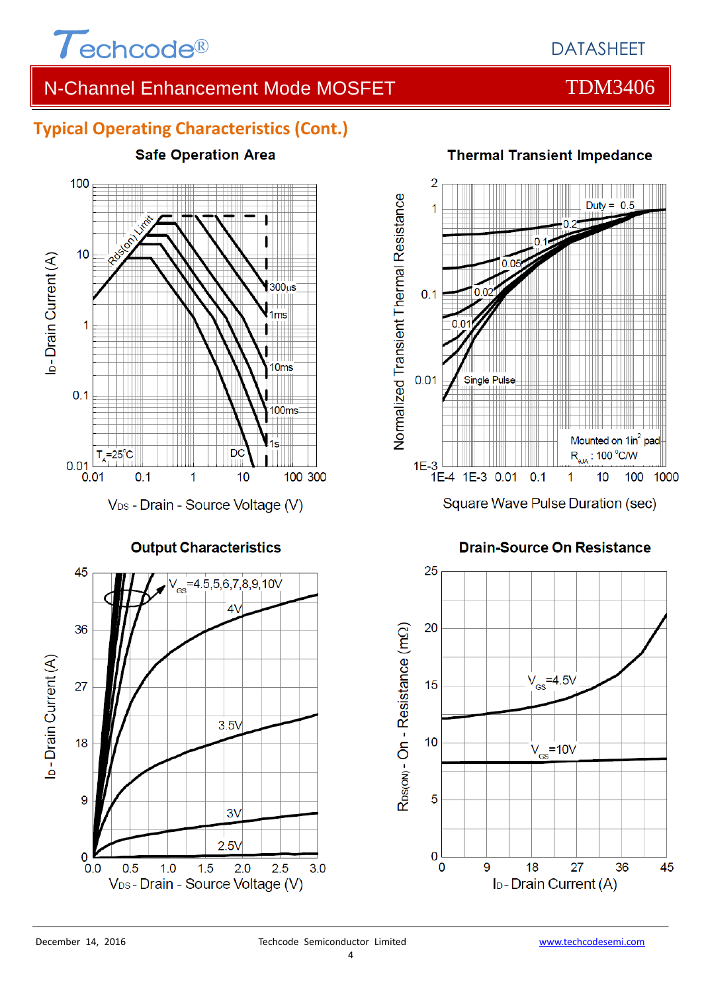

## **Typical Operating Characteristics (Cont.)**



**Output Characteristics** 



# **Thermal Transient Impedance**



## **Drain-Source On Resistance**

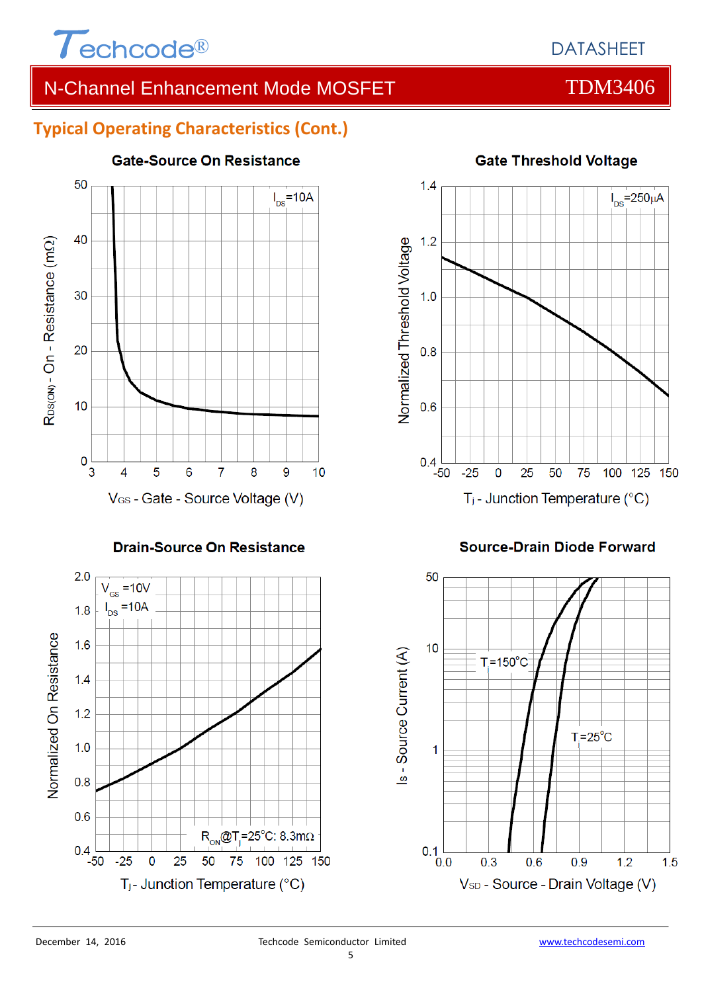

## DATASHEET

# N-Channel Enhancement Mode MOSFET TOM3406

## **Typical Operating Characteristics (Cont.)**



## **Drain-Source On Resistance**





## **Gate Threshold Voltage**

## **Source-Drain Diode Forward**

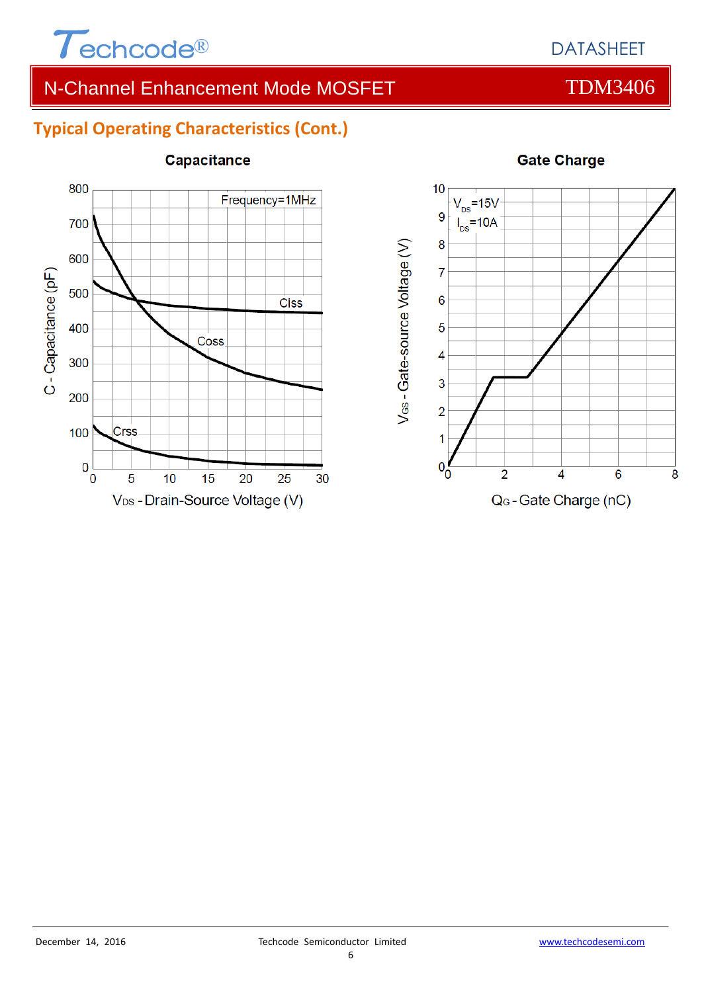

## **Typical Operating Characteristics (Cont.)**



## Capacitance



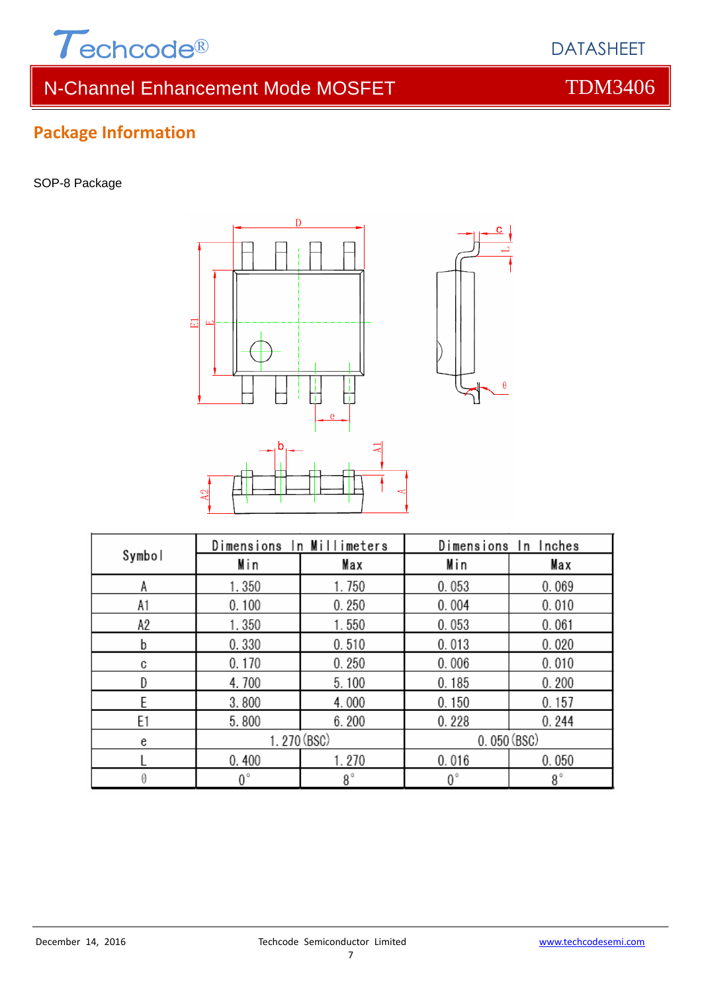

## **Package Information**

SOP-8 Package



|        | Dimensions In Millimeters |             | Dimensions In Inches |             |  |
|--------|---------------------------|-------------|----------------------|-------------|--|
| Symbol | Min                       | Max         | Min                  | Max         |  |
| Α      | 1.350                     | 1.750       | 0.053                | 0.069       |  |
| A1     | 0.100                     | 0.250       | 0.004                | 0.010       |  |
| A2     | 1.350                     | 1.550       | 0.053                | 0.061       |  |
| b      | 0.330                     | 0.510       | 0.013                | 0.020       |  |
| C      | 0.170                     | 0.250       | 0.006                | 0.010       |  |
| D      | 4.700                     | 5.100       | 0.185                | 0.200       |  |
| F      | 3.800                     | 4.000       | 0.150                | 0.157       |  |
| E1     | 5.800                     | 6.200       | 0.228                | 0.244       |  |
| e      | 1.270 (BSC)               |             | 0.050(BSC)           |             |  |
|        | 0.400                     | 1.270       | 0.016                | 0.050       |  |
|        | $0^{\circ}$               | $8^{\circ}$ | $0^{\circ}$          | $8^{\circ}$ |  |